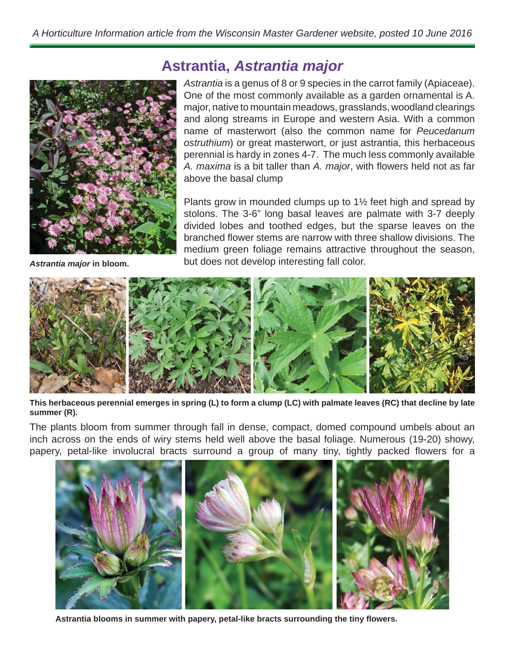

*Astrantia major* **in bloom.**

## **Astrantia,** *Astrantia major*

*Astrantia* is a genus of 8 or 9 species in the carrot family (Apiaceae). One of the most commonly available as a garden ornamental is A. major, native to mountain meadows, grasslands, woodland clearings and along streams in Europe and western Asia. With a common name of masterwort (also the common name for *Peucedanum ostruthium*) or great masterwort, or just astrantia, this herbaceous perennial is hardy in zones 4-7. The much less commonly available A. maxima is a bit taller than A. major, with flowers held not as far above the basal clump

Plants grow in mounded clumps up to 1½ feet high and spread by stolons. The 3-6" long basal leaves are palmate with 3-7 deeply divided lobes and toothed edges, but the sparse leaves on the branched flower stems are narrow with three shallow divisions. The medium green foliage remains attractive throughout the season, but does not develop interesting fall color.



**This herbaceous perennial emerges in spring (L) to form a clump (LC) with palmate leaves (RC) that decline by late summer (R).**

The plants bloom from summer through fall in dense, compact, domed compound umbels about an inch across on the ends of wiry stems held well above the basal foliage. Numerous (19-20) showy, papery, petal-like involucral bracts surround a group of many tiny, tightly packed flowers for a



**Astrantia blooms in summer with papery, petal-like bracts surrounding the tiny fl owers.**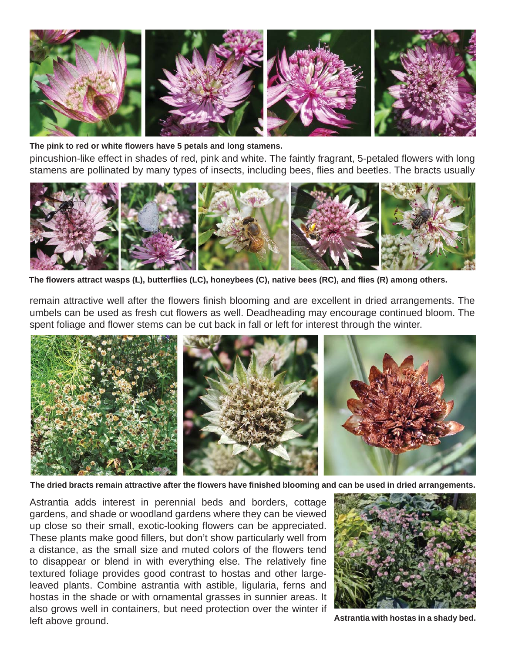

**The pink to red or white fl owers have 5 petals and long stamens.**

pincushion-like effect in shades of red, pink and white. The faintly fragrant, 5-petaled flowers with long stamens are pollinated by many types of insects, including bees, flies and beetles. The bracts usually



**The fl owers attract wasps (L), butterfl ies (LC), honeybees (C), native bees (RC), and fl ies (R) among others.**

remain attractive well after the flowers finish blooming and are excellent in dried arrangements. The umbels can be used as fresh cut flowers as well. Deadheading may encourage continued bloom. The spent foliage and flower stems can be cut back in fall or left for interest through the winter.



**The dried bracts remain attractive after the fl owers have fi nished blooming and can be used in dried arrangements.**

Astrantia adds interest in perennial beds and borders, cottage gardens, and shade or woodland gardens where they can be viewed up close so their small, exotic-looking flowers can be appreciated. These plants make good fillers, but don't show particularly well from a distance, as the small size and muted colors of the flowers tend to disappear or blend in with everything else. The relatively fine textured foliage provides good contrast to hostas and other largeleaved plants. Combine astrantia with astible, ligularia, ferns and hostas in the shade or with ornamental grasses in sunnier areas. It also grows well in containers, but need protection over the winter if left above ground.



**Astrantia with hostas in a shady bed.**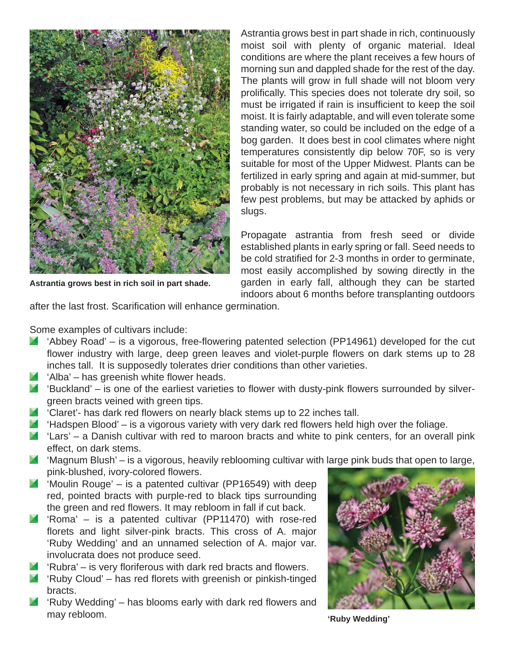

**Astrantia grows best in rich soil in part shade.**

Astrantia grows best in part shade in rich, continuously moist soil with plenty of organic material. Ideal conditions are where the plant receives a few hours of morning sun and dappled shade for the rest of the day. The plants will grow in full shade will not bloom very prolifically. This species does not tolerate dry soil, so must be irrigated if rain is insufficient to keep the soil moist. It is fairly adaptable, and will even tolerate some standing water, so could be included on the edge of a bog garden. It does best in cool climates where night temperatures consistently dip below 70F, so is very suitable for most of the Upper Midwest. Plants can be fertilized in early spring and again at mid-summer, but probably is not necessary in rich soils. This plant has few pest problems, but may be attacked by aphids or slugs.

Propagate astrantia from fresh seed or divide established plants in early spring or fall. Seed needs to be cold stratified for 2-3 months in order to germinate, most easily accomplished by sowing directly in the garden in early fall, although they can be started indoors about 6 months before transplanting outdoors

after the last frost. Scarification will enhance germination.

Some examples of cultivars include:

- $\blacksquare$  'Abbey Road' is a vigorous, free-flowering patented selection (PP14961) developed for the cut flower industry with large, deep green leaves and violet-purple flowers on dark stems up to 28 inches tall. It is supposedly tolerates drier conditions than other varieties.
- $\blacksquare$  'Alba' has greenish white flower heads.
- $\blacksquare$  'Buckland' is one of the earliest varieties to flower with dusty-pink flowers surrounded by silvergreen bracts veined with green tips.
- $\blacksquare$  'Claret'- has dark red flowers on nearly black stems up to 22 inches tall.
- $\blacksquare$  'Hadspen Blood' is a vigorous variety with very dark red flowers held high over the foliage.
- $\blacksquare$  'Lars' a Danish cultivar with red to maroon bracts and white to pink centers, for an overall pink effect, on dark stems.
- $\blacksquare$  'Magnum Blush' is a vigorous, heavily reblooming cultivar with large pink buds that open to large, pink-blushed, ivory-colored flowers.
- $\blacksquare$  'Moulin Rouge' is a patented cultivar (PP16549) with deep red, pointed bracts with purple-red to black tips surrounding the green and red flowers. It may rebloom in fall if cut back.
- 'Roma' is a patented cultivar (PP11470) with rose-red florets and light silver-pink bracts. This cross of A. major 'Ruby Wedding' and an unnamed selection of A. major var. involucrata does not produce seed.
- $\blacksquare$  'Rubra' is very floriferous with dark red bracts and flowers.
- $\blacksquare$  'Ruby Cloud' has red florets with greenish or pinkish-tinged bracts.
- $\blacksquare$  'Ruby Wedding' has blooms early with dark red flowers and may rebloom.



**'Ruby Wedding'**